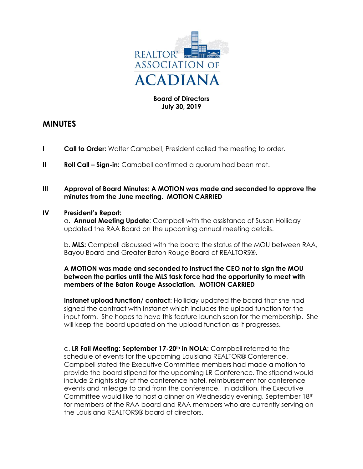

# **Board of Directors July 30, 2019**

# **MINUTES**

- **I Call to Order:** Walter Campbell, President called the meeting to order.
- **II Roll Call Sign-in:** Campbell confirmed a quorum had been met.

### **III Approval of Board Minutes: A MOTION was made and seconded to approve the minutes from the June meeting. MOTION CARRIED**

#### **IV President's Report:**

a. **Annual Meeting Update**: Campbell with the assistance of Susan Holliday updated the RAA Board on the upcoming annual meeting details.

b. **MLS:** Campbell discussed with the board the status of the MOU between RAA, Bayou Board and Greater Baton Rouge Board of REALTORS®.

## **A MOTION was made and seconded to instruct the CEO not to sign the MOU between the parties until the MLS task force had the opportunity to meet with members of the Baton Rouge Association. MOTION CARRIED**

**Instanet upload function/ contact**: Holliday updated the board that she had signed the contract with Instanet which includes the upload function for the input form. She hopes to have this feature launch soon for the membership. She will keep the board updated on the upload function as it progresses.

c. **LR Fall Meeting: September 17-20th in NOLA:** Campbell referred to the schedule of events for the upcoming Louisiana REALTOR® Conference. Campbell stated the Executive Committee members had made a motion to provide the board stipend for the upcoming LR Conference. The stipend would include 2 nights stay at the conference hotel, reimbursement for conference events and mileage to and from the conference. In addition, the Executive Committee would like to host a dinner on Wednesday evening, September 18<sup>th</sup> for members of the RAA board and RAA members who are currently serving on the Louisiana REALTORS® board of directors.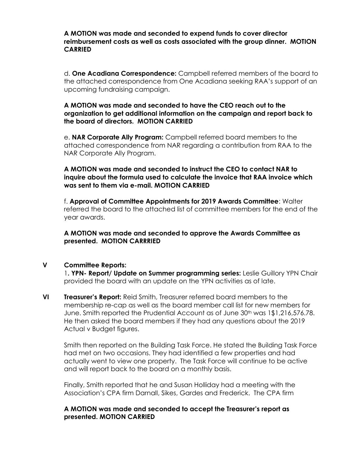#### **A MOTION was made and seconded to expend funds to cover director reimbursement costs as well as costs associated with the group dinner. MOTION CARRIED**

d. **One Acadiana Correspondence:** Campbell referred members of the board to the attached correspondence from One Acadiana seeking RAA's support of an upcoming fundraising campaign.

#### **A MOTION was made and seconded to have the CEO reach out to the organization to get additional information on the campaign and report back to the board of directors. MOTION CARRIED**

e. **NAR Corporate Ally Program:** Campbell referred board members to the attached correspondence from NAR regarding a contribution from RAA to the NAR Corporate Ally Program.

**A MOTION was made and seconded to instruct the CEO to contact NAR to inquire about the formula used to calculate the invoice that RAA invoice which was sent to them via e-mail. MOTION CARRIED**

f. **Approval of Committee Appointments for 2019 Awards Committee**: Walter referred the board to the attached list of committee members for the end of the year awards.

## **A MOTION was made and seconded to approve the Awards Committee as presented. MOTION CARRRIED**

# **V Committee Reports:**

1**. YPN- Report/ Update on Summer programming series:** Leslie Guillory YPN Chair provided the board with an update on the YPN activities as of late.

**VI Treasurer's Report:** Reid Smith, Treasurer referred board members to the membership re-cap as well as the board member call list for new members for June. Smith reported the Prudential Account as of June 30<sup>th</sup> was 1\$1,216,576.78. He then asked the board members if they had any questions about the 2019 Actual v Budget figures.

Smith then reported on the Building Task Force. He stated the Building Task Force had met on two occasions. They had identified a few properties and had actually went to view one property. The Task Force will continue to be active and will report back to the board on a monthly basis.

Finally, Smith reported that he and Susan Holliday had a meeting with the Association's CPA firm Darnall, Sikes, Gardes and Frederick. The CPA firm

## **A MOTION was made and seconded to accept the Treasurer's report as presented. MOTION CARRIED**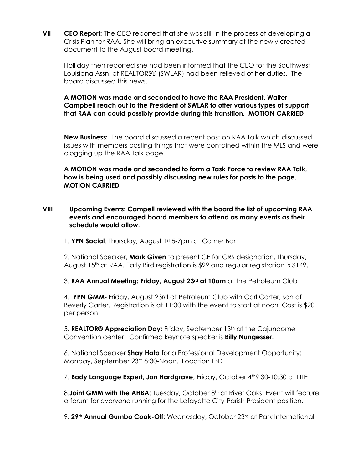**VII CEO Report:** The CEO reported that she was still in the process of developing a Crisis Plan for RAA. She will bring an executive summary of the newly created document to the August board meeting.

Holliday then reported she had been informed that the CEO for the Southwest Louisiana Assn. of REALTORS® (SWLAR) had been relieved of her duties. The board discussed this news.

**A MOTION was made and seconded to have the RAA President, Walter Campbell reach out to the President of SWLAR to offer various types of support that RAA can could possibly provide during this transition. MOTION CARRIED**

**New Business:** The board discussed a recent post on RAA Talk which discussed issues with members posting things that were contained within the MLS and were clogging up the RAA Talk page.

**A MOTION was made and seconded to form a Task Force to review RAA Talk, how is being used and possibly discussing new rules for posts to the page. MOTION CARRIED** 

**VIII Upcoming Events: Campell reviewed with the board the list of upcoming RAA events and encouraged board members to attend as many events as their schedule would allow.** 

1. **YPN Social**: Thursday, August 1st 5-7pm at Corner Bar

2. National Speaker, **Mark Given** to present CE for CRS designation, Thursday, August 15th at RAA. Early Bird registration is \$99 and regular registration is \$149.

3. **RAA Annual Meeting: Friday, August 23rd at 10am** at the Petroleum Club

4. **YPN GMM**- Friday, August 23rd at Petroleum Club with Carl Carter, son of Beverly Carter. Registration is at 11:30 with the event to start at noon. Cost is \$20 per person.

5. **REALTOR® Appreciation Day:** Friday, September 13<sup>th</sup> at the Cajundome Convention center. Confirmed keynote speaker is **Billy Nungesser.**

6. National Speaker **Shay Hata** for a Professional Development Opportunity: Monday, September 23rd 8:30-Noon. Location TBD

7. **Body Language Expert, Jan Hardgrave**, Friday, October 4<sup>th</sup>9:30-10:30 at LITE

8.**Joint GMM with the AHBA**: Tuesday, October 8<sup>th</sup> at River Oaks. Event will feature a forum for everyone running for the Lafayette City-Parish President position.

9. **29th Annual Gumbo Cook-Off**: Wednesday, October 23rd at Park International